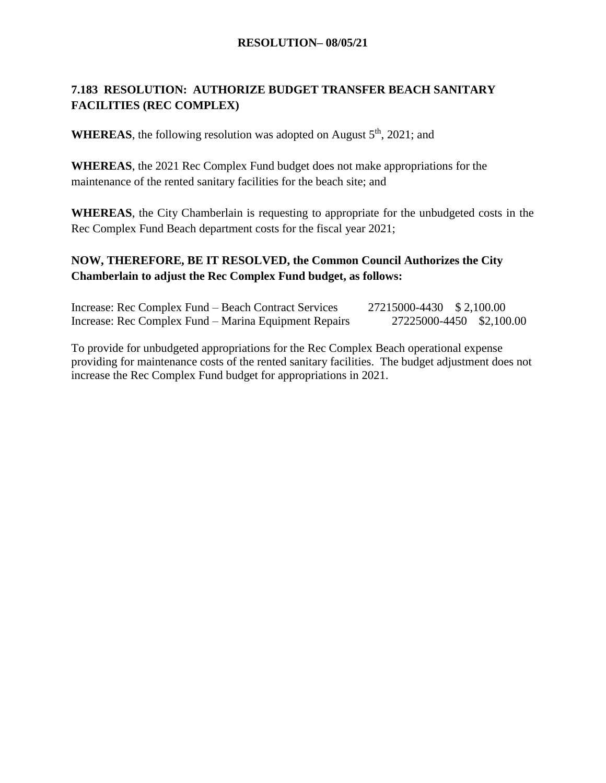### **7.183 RESOLUTION: AUTHORIZE BUDGET TRANSFER BEACH SANITARY FACILITIES (REC COMPLEX)**

**WHEREAS**, the following resolution was adopted on August  $5<sup>th</sup>$ , 2021; and

**WHEREAS**, the 2021 Rec Complex Fund budget does not make appropriations for the maintenance of the rented sanitary facilities for the beach site; and

**WHEREAS**, the City Chamberlain is requesting to appropriate for the unbudgeted costs in the Rec Complex Fund Beach department costs for the fiscal year 2021;

### **NOW, THEREFORE, BE IT RESOLVED, the Common Council Authorizes the City Chamberlain to adjust the Rec Complex Fund budget, as follows:**

| Increase: Rec Complex Fund – Beach Contract Services  | 27215000-4430 \$2,100.00 |                          |
|-------------------------------------------------------|--------------------------|--------------------------|
| Increase: Rec Complex Fund – Marina Equipment Repairs |                          | 27225000-4450 \$2,100.00 |

To provide for unbudgeted appropriations for the Rec Complex Beach operational expense providing for maintenance costs of the rented sanitary facilities. The budget adjustment does not increase the Rec Complex Fund budget for appropriations in 2021.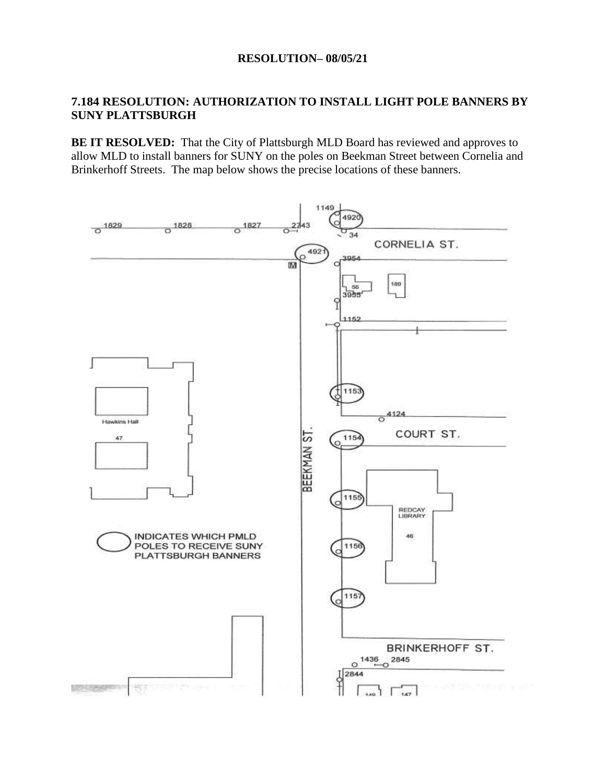### **7.184 RESOLUTION: AUTHORIZATION TO INSTALL LIGHT POLE BANNERS BY SUNY PLATTSBURGH**

**BE IT RESOLVED:** That the City of Plattsburgh MLD Board has reviewed and approves to allow MLD to install banners for SUNY on the poles on Beekman Street between Cornelia and Brinkerhoff Streets. The map below shows the precise locations of these banners.

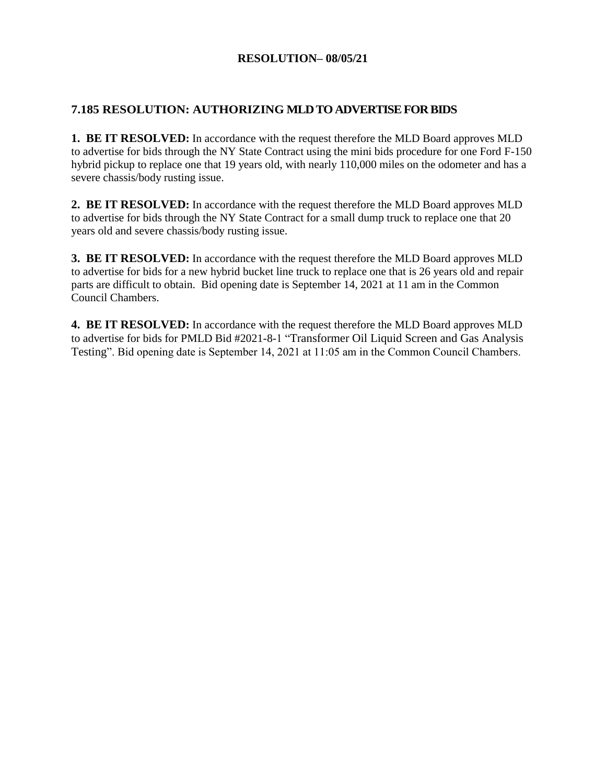### **7.185 RESOLUTION: AUTHORIZING MLD TO ADVERTISE FOR BIDS**

**1. BE IT RESOLVED:** In accordance with the request therefore the MLD Board approves MLD to advertise for bids through the NY State Contract using the mini bids procedure for one Ford F-150 hybrid pickup to replace one that 19 years old, with nearly 110,000 miles on the odometer and has a severe chassis/body rusting issue.

**2. BE IT RESOLVED:** In accordance with the request therefore the MLD Board approves MLD to advertise for bids through the NY State Contract for a small dump truck to replace one that 20 years old and severe chassis/body rusting issue.

**3. BE IT RESOLVED:** In accordance with the request therefore the MLD Board approves MLD to advertise for bids for a new hybrid bucket line truck to replace one that is 26 years old and repair parts are difficult to obtain. Bid opening date is September 14, 2021 at 11 am in the Common Council Chambers.

**4. BE IT RESOLVED:** In accordance with the request therefore the MLD Board approves MLD to advertise for bids for PMLD Bid #2021-8-1 "Transformer Oil Liquid Screen and Gas Analysis Testing". Bid opening date is September 14, 2021 at 11:05 am in the Common Council Chambers.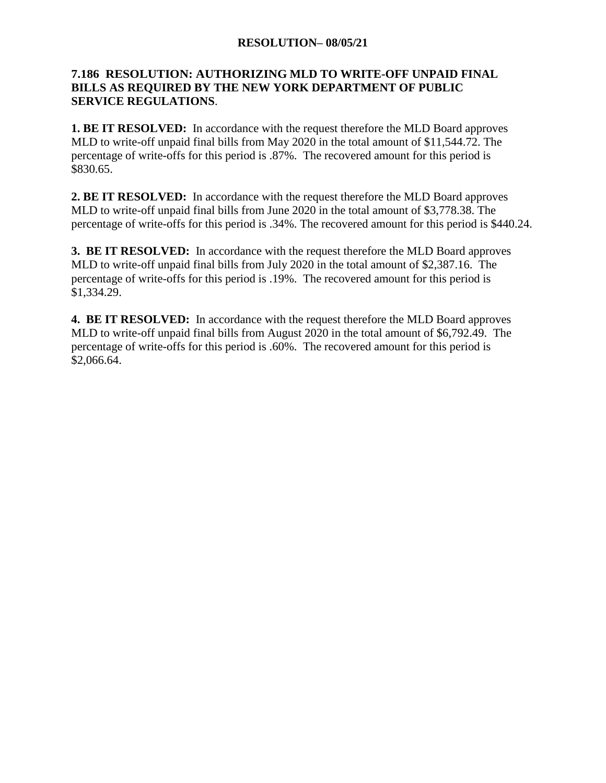### **7.186 RESOLUTION: AUTHORIZING MLD TO WRITE-OFF UNPAID FINAL BILLS AS REQUIRED BY THE NEW YORK DEPARTMENT OF PUBLIC SERVICE REGULATIONS**.

**1. BE IT RESOLVED:** In accordance with the request therefore the MLD Board approves MLD to write-off unpaid final bills from May 2020 in the total amount of \$11,544.72. The percentage of write-offs for this period is .87%. The recovered amount for this period is \$830.65.

**2. BE IT RESOLVED:** In accordance with the request therefore the MLD Board approves MLD to write-off unpaid final bills from June 2020 in the total amount of \$3,778.38. The percentage of write-offs for this period is .34%. The recovered amount for this period is \$440.24.

**3. BE IT RESOLVED:** In accordance with the request therefore the MLD Board approves MLD to write-off unpaid final bills from July 2020 in the total amount of \$2,387.16. The percentage of write-offs for this period is .19%. The recovered amount for this period is \$1,334.29.

**4. BE IT RESOLVED:** In accordance with the request therefore the MLD Board approves MLD to write-off unpaid final bills from August 2020 in the total amount of \$6,792.49. The percentage of write-offs for this period is .60%. The recovered amount for this period is \$2,066.64.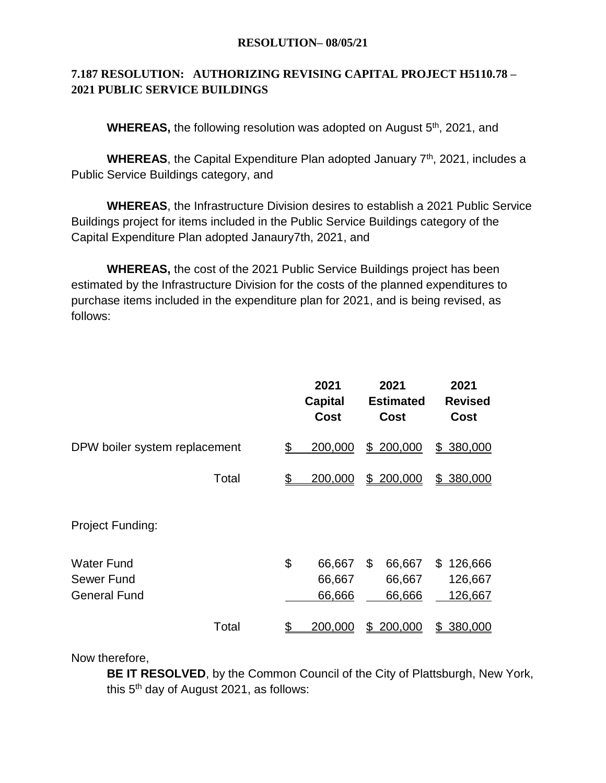### **7.187 RESOLUTION: AUTHORIZING REVISING CAPITAL PROJECT H5110.78 – 2021 PUBLIC SERVICE BUILDINGS**

**WHEREAS, the following resolution was adopted on August 5<sup>th</sup>, 2021, and** 

WHEREAS, the Capital Expenditure Plan adopted January 7<sup>th</sup>, 2021, includes a Public Service Buildings category, and

**WHEREAS**, the Infrastructure Division desires to establish a 2021 Public Service Buildings project for items included in the Public Service Buildings category of the Capital Expenditure Plan adopted Janaury7th, 2021, and

**WHEREAS,** the cost of the 2021 Public Service Buildings project has been estimated by the Infrastructure Division for the costs of the planned expenditures to purchase items included in the expenditure plan for 2021, and is being revised, as follows:

|                                                        | 2021<br><b>Capital</b><br><b>Cost</b> | 2021<br><b>Estimated</b><br>Cost | 2021<br><b>Revised</b><br><b>Cost</b> |
|--------------------------------------------------------|---------------------------------------|----------------------------------|---------------------------------------|
| DPW boiler system replacement                          | \$<br>200,000                         | \$200,000                        | \$380,000                             |
| Total                                                  | \$<br>200,000                         | 200,000<br>\$_                   | \$ 380,000                            |
| <b>Project Funding:</b>                                |                                       |                                  |                                       |
| <b>Water Fund</b><br>Sewer Fund<br><b>General Fund</b> | \$<br>66,667<br>66,667<br>66,666      | 66,667<br>\$<br>66,667<br>66,666 | 126,666<br>\$<br>126,667<br>126,667   |
| Total                                                  | \$<br>200,000                         | 200,000<br>\$                    | 380,000<br>\$                         |

Now therefore,

**BE IT RESOLVED**, by the Common Council of the City of Plattsburgh, New York, this 5<sup>th</sup> day of August 2021, as follows: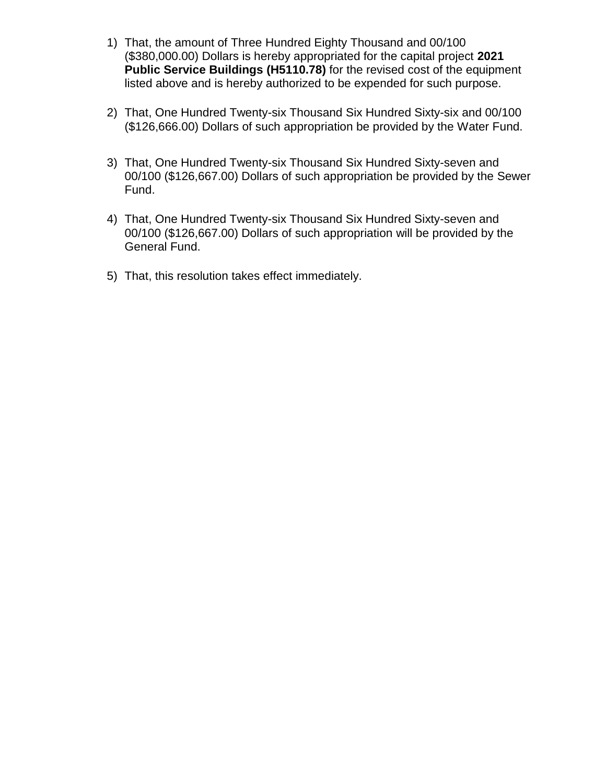- 1) That, the amount of Three Hundred Eighty Thousand and 00/100 (\$380,000.00) Dollars is hereby appropriated for the capital project **2021 Public Service Buildings (H5110.78)** for the revised cost of the equipment listed above and is hereby authorized to be expended for such purpose.
- 2) That, One Hundred Twenty-six Thousand Six Hundred Sixty-six and 00/100 (\$126,666.00) Dollars of such appropriation be provided by the Water Fund.
- 3) That, One Hundred Twenty-six Thousand Six Hundred Sixty-seven and 00/100 (\$126,667.00) Dollars of such appropriation be provided by the Sewer Fund.
- 4) That, One Hundred Twenty-six Thousand Six Hundred Sixty-seven and 00/100 (\$126,667.00) Dollars of such appropriation will be provided by the General Fund.
- 5) That, this resolution takes effect immediately.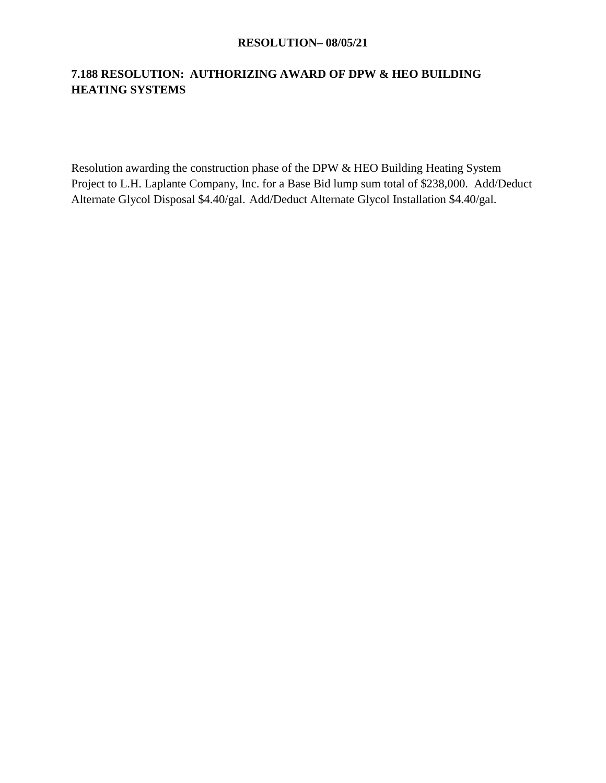### **7.188 RESOLUTION: AUTHORIZING AWARD OF DPW & HEO BUILDING HEATING SYSTEMS**

Resolution awarding the construction phase of the DPW & HEO Building Heating System Project to L.H. Laplante Company, Inc. for a Base Bid lump sum total of \$238,000. Add/Deduct Alternate Glycol Disposal \$4.40/gal. Add/Deduct Alternate Glycol Installation \$4.40/gal.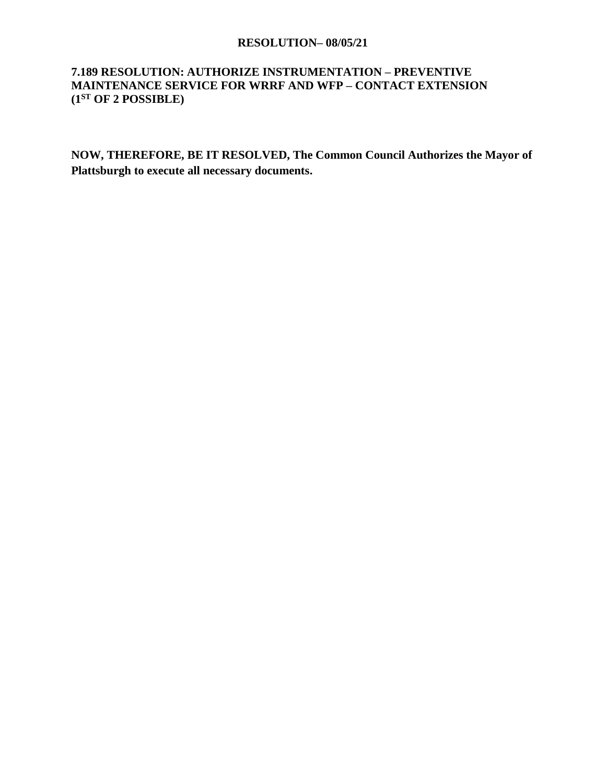### **7.189 RESOLUTION: AUTHORIZE INSTRUMENTATION – PREVENTIVE MAINTENANCE SERVICE FOR WRRF AND WFP – CONTACT EXTENSION (1ST OF 2 POSSIBLE)**

**NOW, THEREFORE, BE IT RESOLVED, The Common Council Authorizes the Mayor of Plattsburgh to execute all necessary documents.**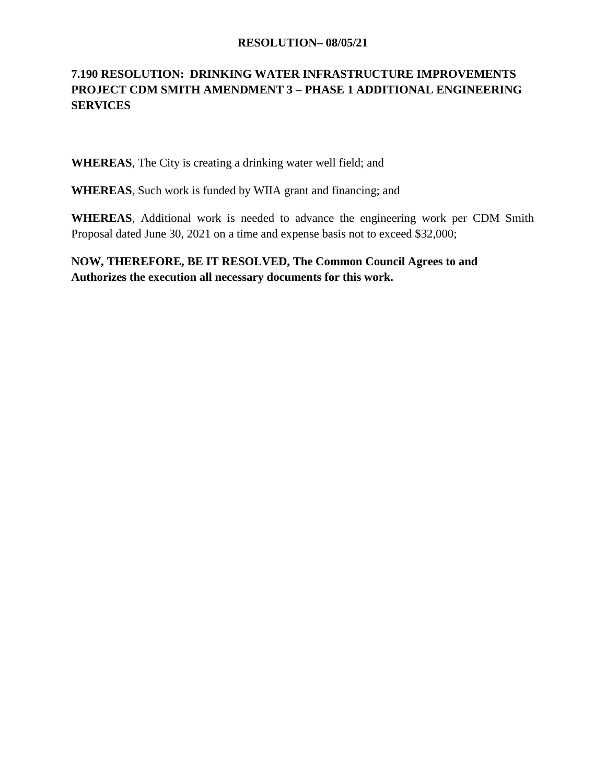### **7.190 RESOLUTION: DRINKING WATER INFRASTRUCTURE IMPROVEMENTS PROJECT CDM SMITH AMENDMENT 3 – PHASE 1 ADDITIONAL ENGINEERING SERVICES**

**WHEREAS**, The City is creating a drinking water well field; and

**WHEREAS**, Such work is funded by WIIA grant and financing; and

**WHEREAS**, Additional work is needed to advance the engineering work per CDM Smith Proposal dated June 30, 2021 on a time and expense basis not to exceed \$32,000;

**NOW, THEREFORE, BE IT RESOLVED, The Common Council Agrees to and Authorizes the execution all necessary documents for this work.**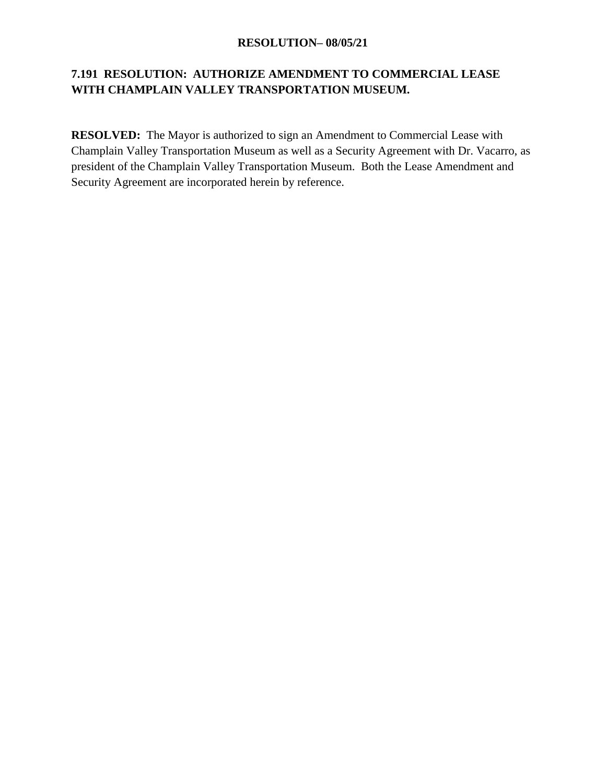### **7.191 RESOLUTION: AUTHORIZE AMENDMENT TO COMMERCIAL LEASE WITH CHAMPLAIN VALLEY TRANSPORTATION MUSEUM.**

**RESOLVED:** The Mayor is authorized to sign an Amendment to Commercial Lease with Champlain Valley Transportation Museum as well as a Security Agreement with Dr. Vacarro, as president of the Champlain Valley Transportation Museum. Both the Lease Amendment and Security Agreement are incorporated herein by reference.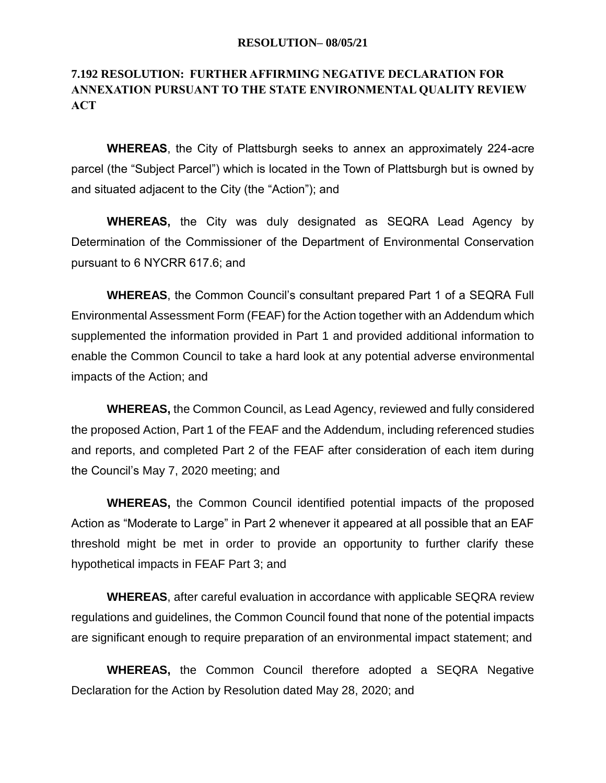### **7.192 RESOLUTION: FURTHER AFFIRMING NEGATIVE DECLARATION FOR ANNEXATION PURSUANT TO THE STATE ENVIRONMENTAL QUALITY REVIEW ACT**

**WHEREAS**, the City of Plattsburgh seeks to annex an approximately 224-acre parcel (the "Subject Parcel") which is located in the Town of Plattsburgh but is owned by and situated adjacent to the City (the "Action"); and

**WHEREAS,** the City was duly designated as SEQRA Lead Agency by Determination of the Commissioner of the Department of Environmental Conservation pursuant to 6 NYCRR 617.6; and

**WHEREAS**, the Common Council's consultant prepared Part 1 of a SEQRA Full Environmental Assessment Form (FEAF) for the Action together with an Addendum which supplemented the information provided in Part 1 and provided additional information to enable the Common Council to take a hard look at any potential adverse environmental impacts of the Action; and

**WHEREAS,** the Common Council, as Lead Agency, reviewed and fully considered the proposed Action, Part 1 of the FEAF and the Addendum, including referenced studies and reports, and completed Part 2 of the FEAF after consideration of each item during the Council's May 7, 2020 meeting; and

**WHEREAS,** the Common Council identified potential impacts of the proposed Action as "Moderate to Large" in Part 2 whenever it appeared at all possible that an EAF threshold might be met in order to provide an opportunity to further clarify these hypothetical impacts in FEAF Part 3; and

**WHEREAS**, after careful evaluation in accordance with applicable SEQRA review regulations and guidelines, the Common Council found that none of the potential impacts are significant enough to require preparation of an environmental impact statement; and

**WHEREAS,** the Common Council therefore adopted a SEQRA Negative Declaration for the Action by Resolution dated May 28, 2020; and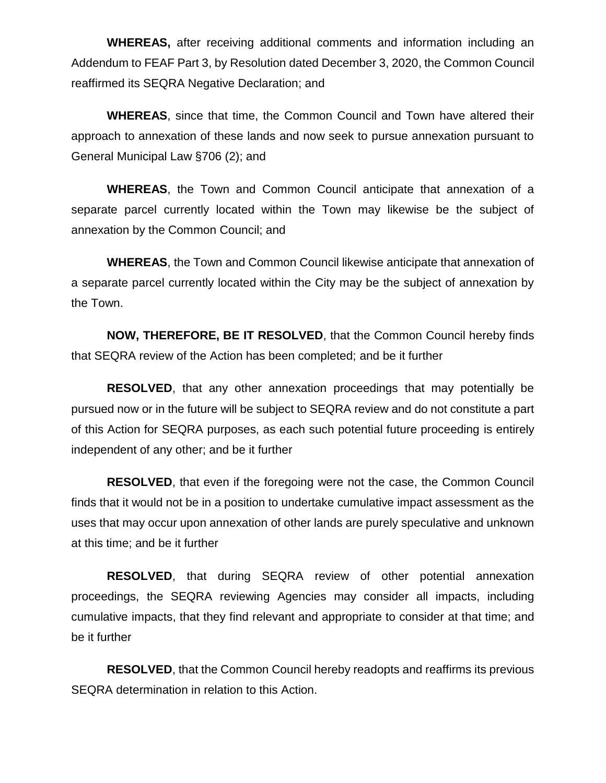**WHEREAS,** after receiving additional comments and information including an Addendum to FEAF Part 3, by Resolution dated December 3, 2020, the Common Council reaffirmed its SEQRA Negative Declaration; and

**WHEREAS**, since that time, the Common Council and Town have altered their approach to annexation of these lands and now seek to pursue annexation pursuant to General Municipal Law §706 (2); and

**WHEREAS**, the Town and Common Council anticipate that annexation of a separate parcel currently located within the Town may likewise be the subject of annexation by the Common Council; and

**WHEREAS**, the Town and Common Council likewise anticipate that annexation of a separate parcel currently located within the City may be the subject of annexation by the Town.

**NOW, THEREFORE, BE IT RESOLVED**, that the Common Council hereby finds that SEQRA review of the Action has been completed; and be it further

**RESOLVED**, that any other annexation proceedings that may potentially be pursued now or in the future will be subject to SEQRA review and do not constitute a part of this Action for SEQRA purposes, as each such potential future proceeding is entirely independent of any other; and be it further

**RESOLVED**, that even if the foregoing were not the case, the Common Council finds that it would not be in a position to undertake cumulative impact assessment as the uses that may occur upon annexation of other lands are purely speculative and unknown at this time; and be it further

**RESOLVED**, that during SEQRA review of other potential annexation proceedings, the SEQRA reviewing Agencies may consider all impacts, including cumulative impacts, that they find relevant and appropriate to consider at that time; and be it further

**RESOLVED**, that the Common Council hereby readopts and reaffirms its previous SEQRA determination in relation to this Action.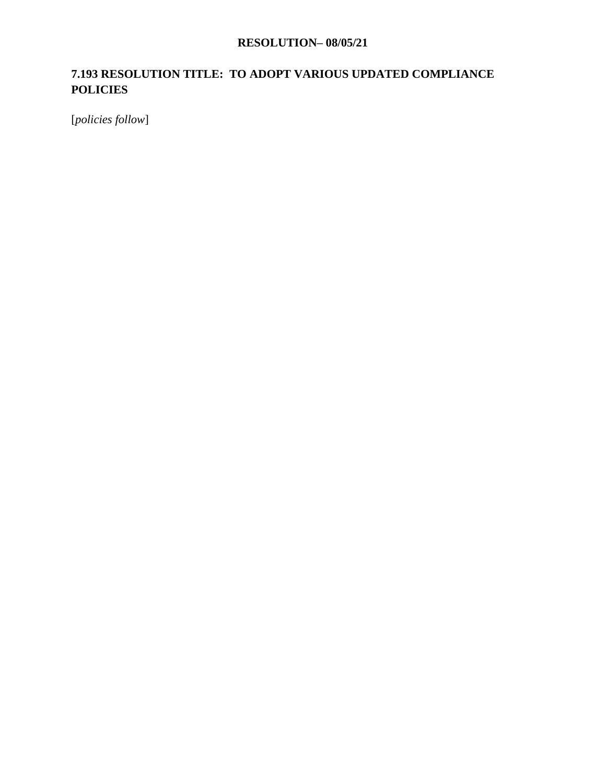### **7.193 RESOLUTION TITLE: TO ADOPT VARIOUS UPDATED COMPLIANCE POLICIES**

[*policies follow*]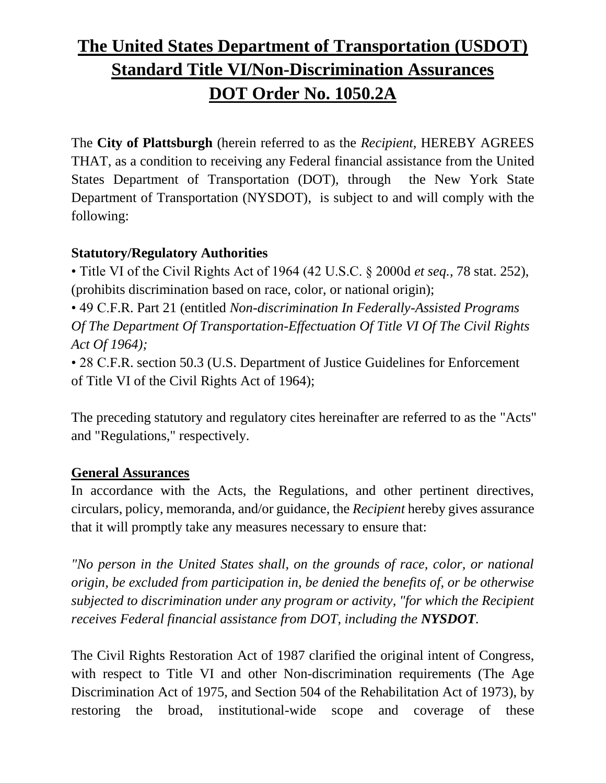# **The United States Department of Transportation (USDOT) Standard Title VI/Non-Discrimination Assurances DOT Order No. 1050.2A**

The **City of Plattsburgh** (herein referred to as the *Recipient*, HEREBY AGREES THAT, as a condition to receiving any Federal financial assistance from the United States Department of Transportation (DOT), through the New York State Department of Transportation (NYSDOT), is subject to and will comply with the following:

# **Statutory/Regulatory Authorities**

• Title VI of the Civil Rights Act of 1964 (42 U.S.C. § 2000d *et seq.,* 78 stat. 252), (prohibits discrimination based on race, color, or national origin);

• 49 C.F.R. Part 21 (entitled *Non-discrimination In Federally-Assisted Programs Of The Department Of Transportation-Effectuation Of Title VI Of The Civil Rights Act Of 1964);*

• 28 C.F.R. section 50.3 (U.S. Department of Justice Guidelines for Enforcement of Title VI of the Civil Rights Act of 1964);

The preceding statutory and regulatory cites hereinafter are referred to as the "Acts" and "Regulations," respectively.

# **General Assurances**

In accordance with the Acts, the Regulations, and other pertinent directives, circulars, policy, memoranda, and/or guidance, the *Recipient* hereby gives assurance that it will promptly take any measures necessary to ensure that:

*"No person in the United States shall, on the grounds of race, color, or national origin, be excluded from participation in, be denied the benefits of, or be otherwise subjected to discrimination under any program or activity, "for which the Recipient receives Federal financial assistance from DOT, including the NYSDOT.*

The Civil Rights Restoration Act of 1987 clarified the original intent of Congress, with respect to Title VI and other Non-discrimination requirements (The Age Discrimination Act of 1975, and Section 504 of the Rehabilitation Act of 1973), by restoring the broad, institutional-wide scope and coverage of these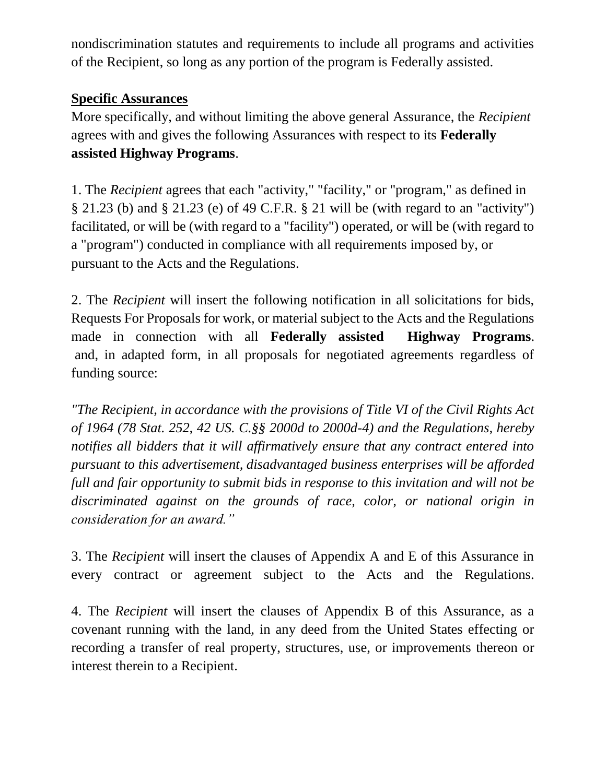nondiscrimination statutes and requirements to include all programs and activities of the Recipient, so long as any portion of the program is Federally assisted.

# **Specific Assurances**

More specifically, and without limiting the above general Assurance, the *Recipient*  agrees with and gives the following Assurances with respect to its **Federally assisted Highway Programs**.

1. The *Recipient* agrees that each "activity," "facility," or "program," as defined in § 21.23 (b) and § 21.23 (e) of 49 C.F.R. § 21 will be (with regard to an "activity") facilitated, or will be (with regard to a "facility") operated, or will be (with regard to a "program") conducted in compliance with all requirements imposed by, or pursuant to the Acts and the Regulations.

2. The *Recipient* will insert the following notification in all solicitations for bids, Requests For Proposals for work, or material subject to the Acts and the Regulations made in connection with all **Federally assisted Highway Programs**. and, in adapted form, in all proposals for negotiated agreements regardless of funding source:

*"The Recipient, in accordance with the provisions of Title VI of the Civil Rights Act of 1964 (78 Stat. 252, 42 US. C.§§ 2000d to 2000d-4) and the Regulations, hereby notifies all bidders that it will affirmatively ensure that any contract entered into pursuant to this advertisement, disadvantaged business enterprises will be afforded full and fair opportunity to submit bids in response to this invitation and will not be discriminated against on the grounds of race, color, or national origin in consideration for an award."*

3. The *Recipient* will insert the clauses of Appendix A and E of this Assurance in every contract or agreement subject to the Acts and the Regulations.

4. The *Recipient* will insert the clauses of Appendix B of this Assurance, as a covenant running with the land, in any deed from the United States effecting or recording a transfer of real property, structures, use, or improvements thereon or interest therein to a Recipient.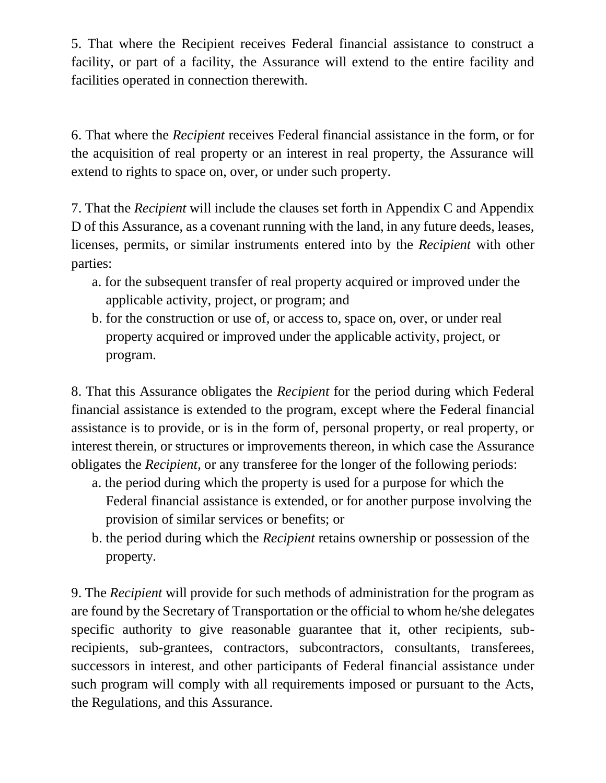5. That where the Recipient receives Federal financial assistance to construct a facility, or part of a facility, the Assurance will extend to the entire facility and facilities operated in connection therewith.

6. That where the *Recipient* receives Federal financial assistance in the form, or for the acquisition of real property or an interest in real property, the Assurance will extend to rights to space on, over, or under such property.

7. That the *Recipient* will include the clauses set forth in Appendix C and Appendix D of this Assurance, as a covenant running with the land, in any future deeds, leases, licenses, permits, or similar instruments entered into by the *Recipient* with other parties:

- a. for the subsequent transfer of real property acquired or improved under the applicable activity, project, or program; and
- b. for the construction or use of, or access to, space on, over, or under real property acquired or improved under the applicable activity, project, or program.

8. That this Assurance obligates the *Recipient* for the period during which Federal financial assistance is extended to the program, except where the Federal financial assistance is to provide, or is in the form of, personal property, or real property, or interest therein, or structures or improvements thereon, in which case the Assurance obligates the *Recipient*, or any transferee for the longer of the following periods:

- a. the period during which the property is used for a purpose for which the Federal financial assistance is extended, or for another purpose involving the provision of similar services or benefits; or
- b. the period during which the *Recipient* retains ownership or possession of the property.

9. The *Recipient* will provide for such methods of administration for the program as are found by the Secretary of Transportation or the official to whom he/she delegates specific authority to give reasonable guarantee that it, other recipients, subrecipients, sub-grantees, contractors, subcontractors, consultants, transferees, successors in interest, and other participants of Federal financial assistance under such program will comply with all requirements imposed or pursuant to the Acts, the Regulations, and this Assurance.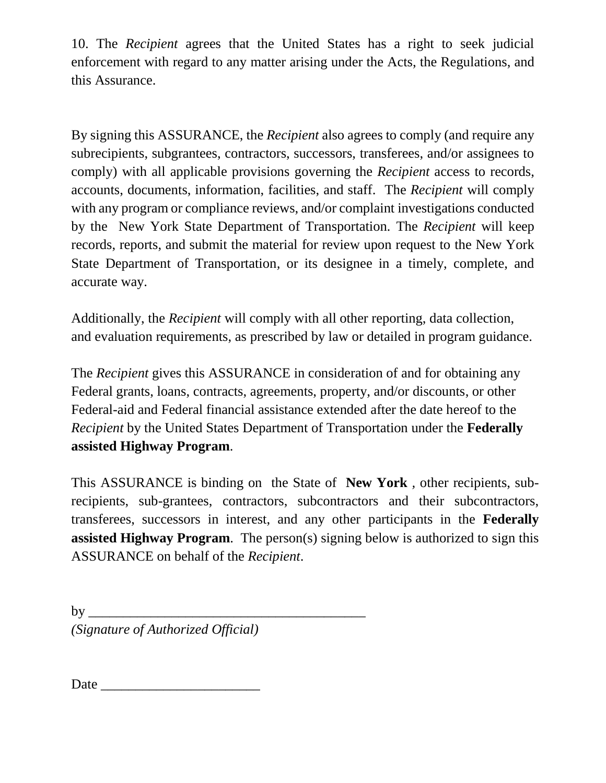10. The *Recipient* agrees that the United States has a right to seek judicial enforcement with regard to any matter arising under the Acts, the Regulations, and this Assurance.

By signing this ASSURANCE, the *Recipient* also agrees to comply (and require any subrecipients, subgrantees, contractors, successors, transferees, and/or assignees to comply) with all applicable provisions governing the *Recipient* access to records, accounts, documents, information, facilities, and staff. The *Recipient* will comply with any program or compliance reviews, and/or complaint investigations conducted by the New York State Department of Transportation*.* The *Recipient* will keep records, reports, and submit the material for review upon request to the New York State Department of Transportation*,* or its designee in a timely, complete, and accurate way.

Additionally, the *Recipient* will comply with all other reporting, data collection, and evaluation requirements, as prescribed by law or detailed in program guidance.

The *Recipient* gives this ASSURANCE in consideration of and for obtaining any Federal grants, loans, contracts, agreements, property, and/or discounts, or other Federal-aid and Federal financial assistance extended after the date hereof to the *Recipient* by the United States Department of Transportation under the **Federally assisted Highway Program**.

This ASSURANCE is binding on the State of **New York** *,* other recipients, subrecipients, sub-grantees, contractors, subcontractors and their subcontractors, transferees, successors in interest, and any other participants in the **Federally assisted Highway Program**. The person(s) signing below is authorized to sign this ASSURANCE on behalf of the *Recipient*.

 $\mathbf{b} \mathbf{v}$ *(Signature of Authorized Official)*

Date \_\_\_\_\_\_\_\_\_\_\_\_\_\_\_\_\_\_\_\_\_\_\_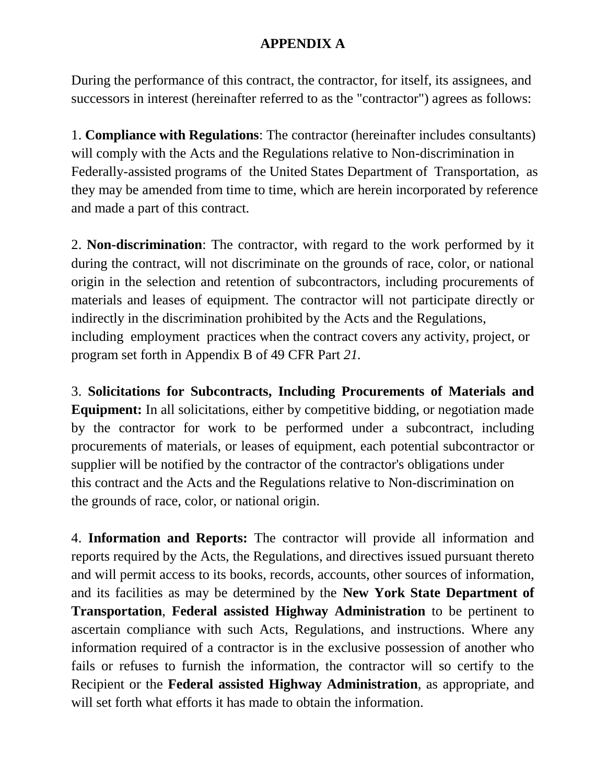# **APPENDIX A**

During the performance of this contract, the contractor, for itself, its assignees, and successors in interest (hereinafter referred to as the "contractor") agrees as follows:

1. **Compliance with Regulations**: The contractor (hereinafter includes consultants) will comply with the Acts and the Regulations relative to Non-discrimination in Federally-assisted programs of the United States Department of Transportation, as they may be amended from time to time, which are herein incorporated by reference and made a part of this contract.

2. **Non-discrimination**: The contractor, with regard to the work performed by it during the contract, will not discriminate on the grounds of race, color, or national origin in the selection and retention of subcontractors, including procurements of materials and leases of equipment. The contractor will not participate directly or indirectly in the discrimination prohibited by the Acts and the Regulations, including employment practices when the contract covers any activity, project, or program set forth in Appendix B of 49 CFR Part *21.*

3. **Solicitations for Subcontracts, Including Procurements of Materials and Equipment:** In all solicitations, either by competitive bidding, or negotiation made by the contractor for work to be performed under a subcontract, including procurements of materials, or leases of equipment, each potential subcontractor or supplier will be notified by the contractor of the contractor's obligations under this contract and the Acts and the Regulations relative to Non-discrimination on the grounds of race, color, or national origin.

4. **Information and Reports:** The contractor will provide all information and reports required by the Acts, the Regulations, and directives issued pursuant thereto and will permit access to its books, records, accounts, other sources of information, and its facilities as may be determined by the **New York State Department of Transportation**, **Federal assisted Highway Administration** to be pertinent to ascertain compliance with such Acts, Regulations, and instructions. Where any information required of a contractor is in the exclusive possession of another who fails or refuses to furnish the information, the contractor will so certify to the Recipient or the **Federal assisted Highway Administration***,* as appropriate, and will set forth what efforts it has made to obtain the information.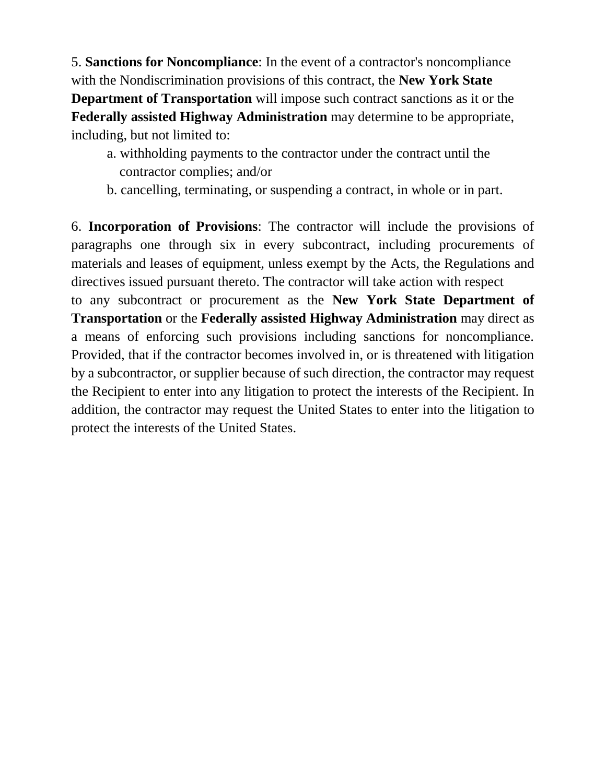5. **Sanctions for Noncompliance**: In the event of a contractor's noncompliance with the Nondiscrimination provisions of this contract, the **New York State Department of Transportation** will impose such contract sanctions as it or the **Federally assisted Highway Administration** may determine to be appropriate, including, but not limited to:

- a. withholding payments to the contractor under the contract until the contractor complies; and/or
- b. cancelling, terminating, or suspending a contract, in whole or in part.

6. **Incorporation of Provisions**: The contractor will include the provisions of paragraphs one through six in every subcontract, including procurements of materials and leases of equipment, unless exempt by the Acts, the Regulations and directives issued pursuant thereto. The contractor will take action with respect to any subcontract or procurement as the **New York State Department of** 

**Transportation** or the **Federally assisted Highway Administration** may direct as a means of enforcing such provisions including sanctions for noncompliance. Provided, that if the contractor becomes involved in, or is threatened with litigation by a subcontractor, or supplier because of such direction, the contractor may request the Recipient to enter into any litigation to protect the interests of the Recipient. In addition, the contractor may request the United States to enter into the litigation to protect the interests of the United States.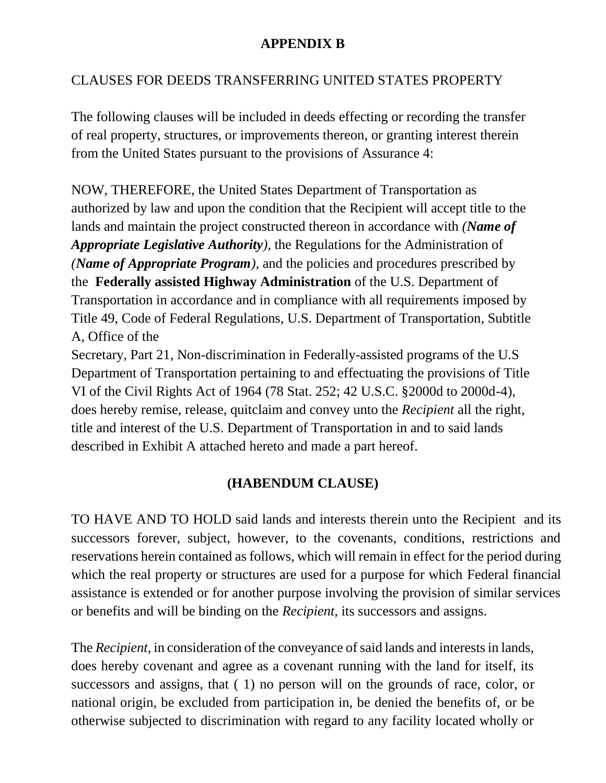# **APPENDIX B**

# CLAUSES FOR DEEDS TRANSFERRING UNITED STATES PROPERTY

The following clauses will be included in deeds effecting or recording the transfer of real property, structures, or improvements thereon, or granting interest therein from the United States pursuant to the provisions of Assurance 4:

NOW, THEREFORE, the United States Department of Transportation as authorized by law and upon the condition that the Recipient will accept title to the lands and maintain the project constructed thereon in accordance with *(Name of Appropriate Legislative Authority),* the Regulations for the Administration of *(Name of Appropriate Program),* and the policies and procedures prescribed by the **Federally assisted Highway Administration** of the U.S. Department of Transportation in accordance and in compliance with all requirements imposed by Title 49, Code of Federal Regulations, U.S. Department of Transportation, Subtitle A, Office of the

Secretary, Part 21, Non-discrimination in Federally-assisted programs of the U.S Department of Transportation pertaining to and effectuating the provisions of Title VI of the Civil Rights Act of 1964 (78 Stat. 252; 42 U.S.C. §2000d to 2000d-4), does hereby remise, release, quitclaim and convey unto the *Recipient* all the right, title and interest of the U.S. Department of Transportation in and to said lands described in Exhibit A attached hereto and made a part hereof.

# **(HABENDUM CLAUSE)**

TO HAVE AND TO HOLD said lands and interests therein unto the Recipient and its successors forever, subject, however, to the covenants, conditions, restrictions and reservations herein contained as follows, which will remain in effect for the period during which the real property or structures are used for a purpose for which Federal financial assistance is extended or for another purpose involving the provision of similar services or benefits and will be binding on the *Recipient,* its successors and assigns.

The *Recipient,* in consideration of the conveyance of said lands and interests in lands, does hereby covenant and agree as a covenant running with the land for itself, its successors and assigns, that ( 1) no person will on the grounds of race, color, or national origin, be excluded from participation in, be denied the benefits of, or be otherwise subjected to discrimination with regard to any facility located wholly or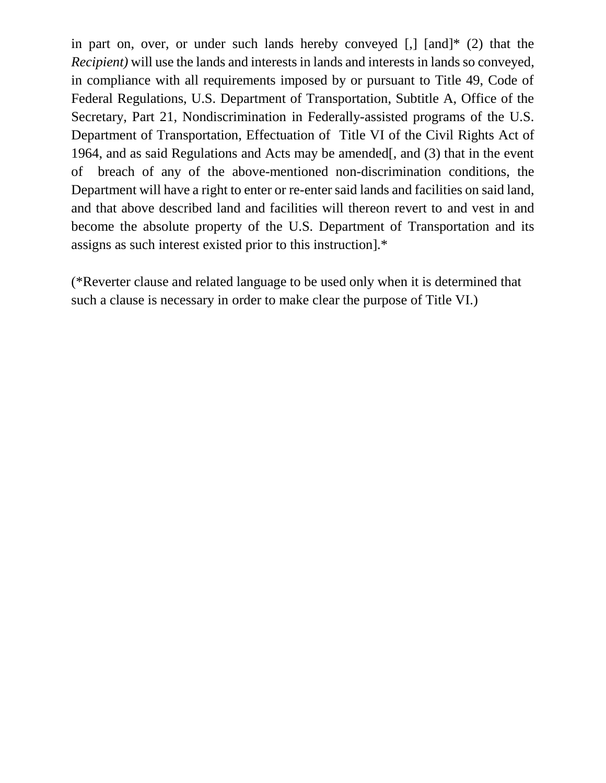in part on, over, or under such lands hereby conveyed  $\lceil$ ,  $\lceil$  and  $\rceil$ <sup>\*</sup> (2) that the *Recipient)* will use the lands and interests in lands and interests in lands so conveyed, in compliance with all requirements imposed by or pursuant to Title 49, Code of Federal Regulations, U.S. Department of Transportation, Subtitle A, Office of the Secretary, Part 21, Nondiscrimination in Federally-assisted programs of the U.S. Department of Transportation, Effectuation of Title VI of the Civil Rights Act of 1964, and as said Regulations and Acts may be amended[, and (3) that in the event of breach of any of the above-mentioned non-discrimination conditions, the Department will have a right to enter or re-enter said lands and facilities on said land, and that above described land and facilities will thereon revert to and vest in and become the absolute property of the U.S. Department of Transportation and its assigns as such interest existed prior to this instruction].\*

(\*Reverter clause and related language to be used only when it is determined that such a clause is necessary in order to make clear the purpose of Title VI.)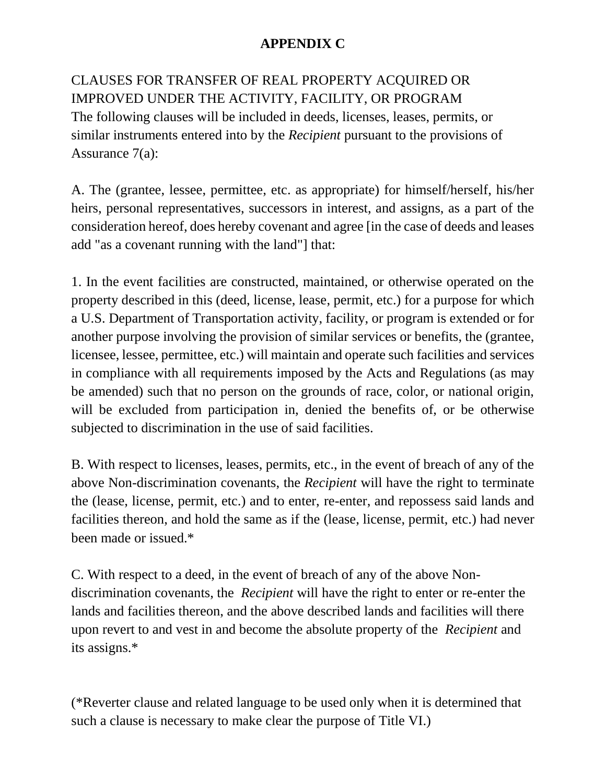# **APPENDIX C**

CLAUSES FOR TRANSFER OF REAL PROPERTY ACQUIRED OR IMPROVED UNDER THE ACTIVITY, FACILITY, OR PROGRAM The following clauses will be included in deeds, licenses, leases, permits, or similar instruments entered into by the *Recipient* pursuant to the provisions of Assurance 7(a):

A. The (grantee, lessee, permittee, etc. as appropriate) for himself/herself, his/her heirs, personal representatives, successors in interest, and assigns, as a part of the consideration hereof, does hereby covenant and agree [in the case of deeds and leases add "as a covenant running with the land"] that:

1. In the event facilities are constructed, maintained, or otherwise operated on the property described in this (deed, license, lease, permit, etc.) for a purpose for which a U.S. Department of Transportation activity, facility, or program is extended or for another purpose involving the provision of similar services or benefits, the (grantee, licensee, lessee, permittee, etc.) will maintain and operate such facilities and services in compliance with all requirements imposed by the Acts and Regulations (as may be amended) such that no person on the grounds of race, color, or national origin, will be excluded from participation in, denied the benefits of, or be otherwise subjected to discrimination in the use of said facilities.

B. With respect to licenses, leases, permits, etc., in the event of breach of any of the above Non-discrimination covenants, the *Recipient* will have the right to terminate the (lease, license, permit, etc.) and to enter, re-enter, and repossess said lands and facilities thereon, and hold the same as if the (lease, license, permit, etc.) had never been made or issued.\*

C. With respect to a deed, in the event of breach of any of the above Nondiscrimination covenants, the *Recipient* will have the right to enter or re-enter the lands and facilities thereon, and the above described lands and facilities will there upon revert to and vest in and become the absolute property of the *Recipient* and its assigns.\*

(\*Reverter clause and related language to be used only when it is determined that such a clause is necessary to make clear the purpose of Title VI.)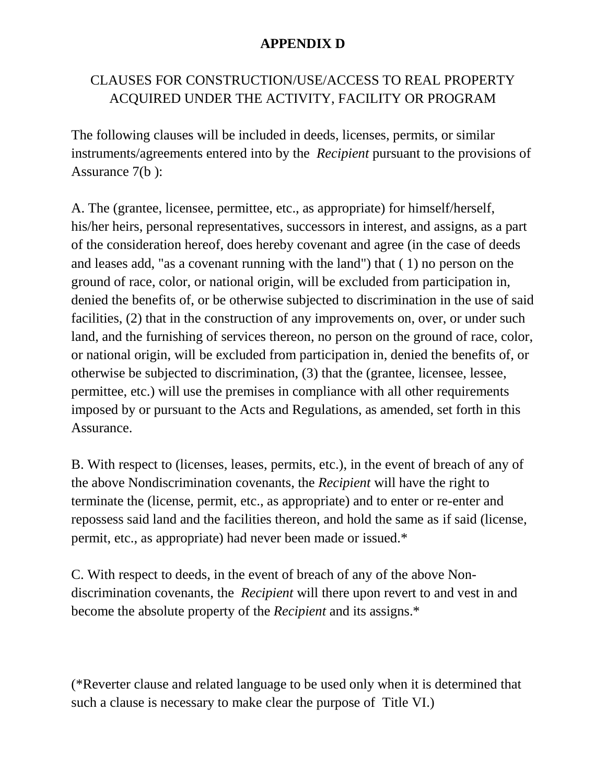### **APPENDIX D**

# CLAUSES FOR CONSTRUCTION/USE/ACCESS TO REAL PROPERTY ACQUIRED UNDER THE ACTIVITY, FACILITY OR PROGRAM

The following clauses will be included in deeds, licenses, permits, or similar instruments/agreements entered into by the *Recipient* pursuant to the provisions of Assurance 7(b ):

A. The (grantee, licensee, permittee, etc., as appropriate) for himself/herself, his/her heirs, personal representatives, successors in interest, and assigns, as a part of the consideration hereof, does hereby covenant and agree (in the case of deeds and leases add, "as a covenant running with the land") that ( 1) no person on the ground of race, color, or national origin, will be excluded from participation in, denied the benefits of, or be otherwise subjected to discrimination in the use of said facilities, (2) that in the construction of any improvements on, over, or under such land, and the furnishing of services thereon, no person on the ground of race, color, or national origin, will be excluded from participation in, denied the benefits of, or otherwise be subjected to discrimination, (3) that the (grantee, licensee, lessee, permittee, etc.) will use the premises in compliance with all other requirements imposed by or pursuant to the Acts and Regulations, as amended, set forth in this Assurance.

B. With respect to (licenses, leases, permits, etc.), in the event of breach of any of the above Nondiscrimination covenants, the *Recipient* will have the right to terminate the (license, permit, etc., as appropriate) and to enter or re-enter and repossess said land and the facilities thereon, and hold the same as if said (license, permit, etc., as appropriate) had never been made or issued.\*

C. With respect to deeds, in the event of breach of any of the above Nondiscrimination covenants, the *Recipient* will there upon revert to and vest in and become the absolute property of the *Recipient* and its assigns.\*

(\*Reverter clause and related language to be used only when it is determined that such a clause is necessary to make clear the purpose of Title VI.)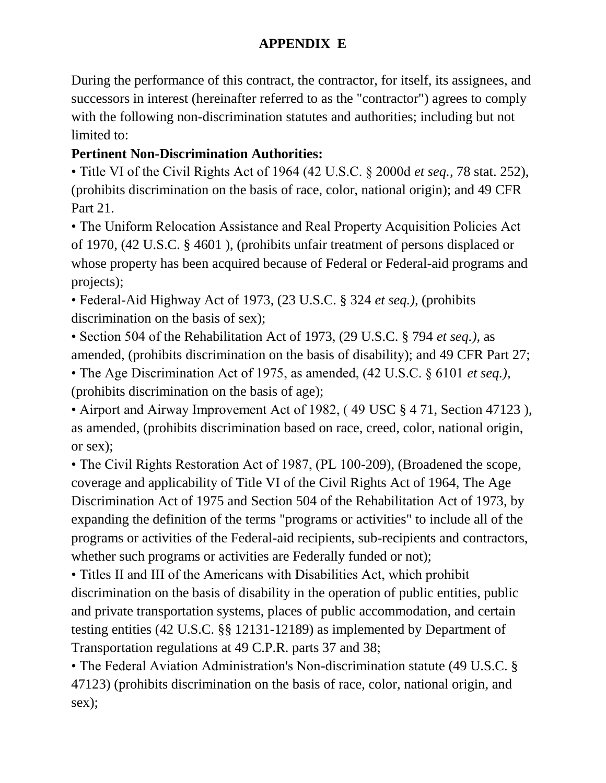# **APPENDIX E**

During the performance of this contract, the contractor, for itself, its assignees, and successors in interest (hereinafter referred to as the "contractor") agrees to comply with the following non-discrimination statutes and authorities; including but not limited to:

# **Pertinent Non-Discrimination Authorities:**

• Title VI of the Civil Rights Act of 1964 (42 U.S.C. § 2000d *et seq.,* 78 stat. 252), (prohibits discrimination on the basis of race, color, national origin); and 49 CFR Part 21.

• The Uniform Relocation Assistance and Real Property Acquisition Policies Act of 1970, (42 U.S.C. § 4601 ), (prohibits unfair treatment of persons displaced or whose property has been acquired because of Federal or Federal-aid programs and projects);

• Federal-Aid Highway Act of 1973, (23 U.S.C. § 324 *et seq.),* (prohibits discrimination on the basis of sex);

• Section 504 of the Rehabilitation Act of 1973, (29 U.S.C. § 794 *et seq.),* as amended, (prohibits discrimination on the basis of disability); and 49 CFR Part 27;

• The Age Discrimination Act of 1975, as amended, (42 U.S.C. § 6101 *et seq.),*  (prohibits discrimination on the basis of age);

• Airport and Airway Improvement Act of 1982, ( 49 USC § 4 71, Section 47123 ), as amended, (prohibits discrimination based on race, creed, color, national origin, or sex);

• The Civil Rights Restoration Act of 1987, (PL 100-209), (Broadened the scope, coverage and applicability of Title VI of the Civil Rights Act of 1964, The Age Discrimination Act of 1975 and Section 504 of the Rehabilitation Act of 1973, by expanding the definition of the terms "programs or activities" to include all of the programs or activities of the Federal-aid recipients, sub-recipients and contractors, whether such programs or activities are Federally funded or not);

• Titles II and III of the Americans with Disabilities Act, which prohibit discrimination on the basis of disability in the operation of public entities, public and private transportation systems, places of public accommodation, and certain testing entities (42 U.S.C. §§ 12131-12189) as implemented by Department of Transportation regulations at 49 C.P.R. parts 37 and 38;

• The Federal Aviation Administration's Non-discrimination statute (49 U.S.C. § 47123) (prohibits discrimination on the basis of race, color, national origin, and sex);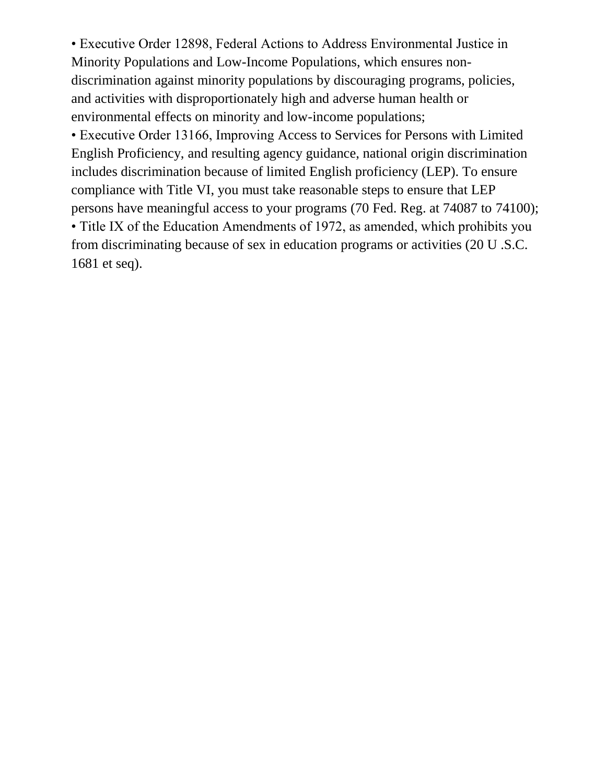• Executive Order 12898, Federal Actions to Address Environmental Justice in Minority Populations and Low-Income Populations, which ensures nondiscrimination against minority populations by discouraging programs, policies, and activities with disproportionately high and adverse human health or environmental effects on minority and low-income populations;

• Executive Order 13166, Improving Access to Services for Persons with Limited English Proficiency, and resulting agency guidance, national origin discrimination includes discrimination because of limited English proficiency (LEP). To ensure compliance with Title VI, you must take reasonable steps to ensure that LEP persons have meaningful access to your programs (70 Fed. Reg. at 74087 to 74100); • Title IX of the Education Amendments of 1972, as amended, which prohibits you from discriminating because of sex in education programs or activities (20 U .S.C. 1681 et seq).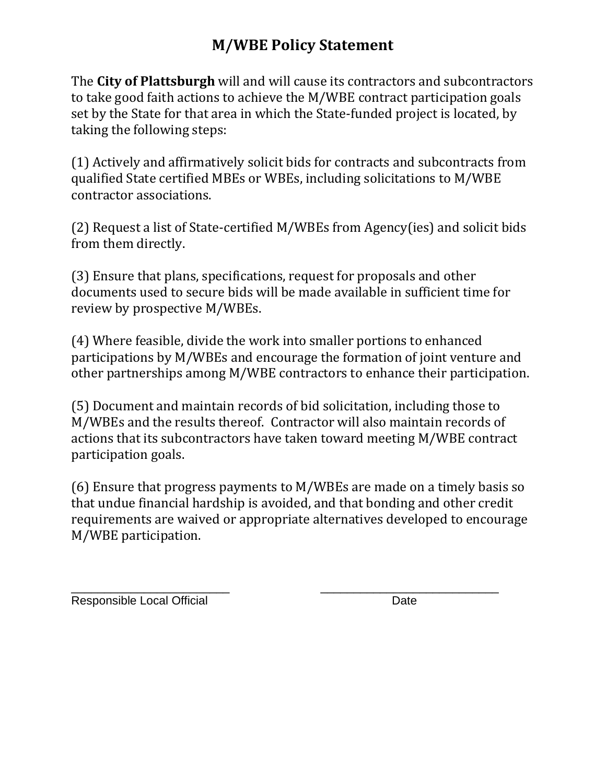# **M/WBE Policy Statement**

The **City of Plattsburgh** will and will cause its contractors and subcontractors to take good faith actions to achieve the M/WBE contract participation goals set by the State for that area in which the State-funded project is located, by taking the following steps:

(1) Actively and affirmatively solicit bids for contracts and subcontracts from qualified State certified MBEs or WBEs, including solicitations to M/WBE contractor associations.

(2) Request a list of State-certified M/WBEs from Agency(ies) and solicit bids from them directly.

(3) Ensure that plans, specifications, request for proposals and other documents used to secure bids will be made available in sufficient time for review by prospective M/WBEs.

(4) Where feasible, divide the work into smaller portions to enhanced participations by M/WBEs and encourage the formation of joint venture and other partnerships among M/WBE contractors to enhance their participation.

(5) Document and maintain records of bid solicitation, including those to M/WBEs and the results thereof. Contractor will also maintain records of actions that its subcontractors have taken toward meeting M/WBE contract participation goals.

(6) Ensure that progress payments to M/WBEs are made on a timely basis so that undue financial hardship is avoided, and that bonding and other credit requirements are waived or appropriate alternatives developed to encourage M/WBE participation.

\_\_\_\_\_\_\_\_\_\_\_\_\_\_\_\_\_\_\_\_\_\_\_\_ \_\_\_\_\_\_\_\_\_\_\_\_\_\_\_\_\_\_\_\_\_\_\_\_\_\_\_ Responsible Local Official Date Date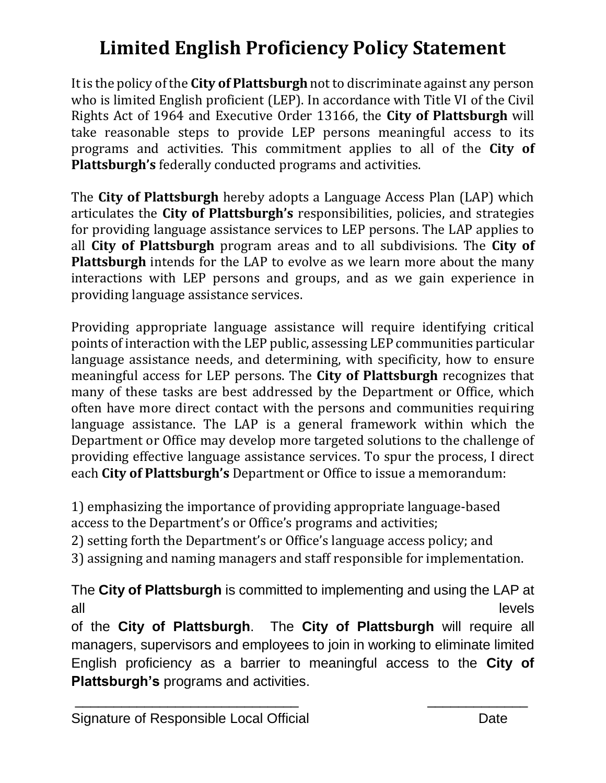# **Limited English Proficiency Policy Statement**

It is the policy of the **City of Plattsburgh** not to discriminate against any person who is limited English proficient (LEP). In accordance with Title VI of the Civil Rights Act of 1964 and Executive Order 13166, the **City of Plattsburgh** will take reasonable steps to provide LEP persons meaningful access to its programs and activities. This commitment applies to all of the **City of Plattsburgh's** federally conducted programs and activities.

The **City of Plattsburgh** hereby adopts a Language Access Plan (LAP) which articulates the **City of Plattsburgh's** responsibilities, policies, and strategies for providing language assistance services to LEP persons. The LAP applies to all **City of Plattsburgh** program areas and to all subdivisions. The **City of Plattsburgh** intends for the LAP to evolve as we learn more about the many interactions with LEP persons and groups, and as we gain experience in providing language assistance services.

Providing appropriate language assistance will require identifying critical points of interaction with the LEP public, assessing LEP communities particular language assistance needs, and determining, with specificity, how to ensure meaningful access for LEP persons. The **City of Plattsburgh** recognizes that many of these tasks are best addressed by the Department or Office, which often have more direct contact with the persons and communities requiring language assistance. The LAP is a general framework within which the Department or Office may develop more targeted solutions to the challenge of providing effective language assistance services. To spur the process, I direct each **City of Plattsburgh's** Department or Office to issue a memorandum:

1) emphasizing the importance of providing appropriate language-based access to the Department's or Office's programs and activities;

2) setting forth the Department's or Office's language access policy; and

3) assigning and naming managers and staff responsible for implementation.

The **City of Plattsburgh** is committed to implementing and using the LAP at all and the contract of the contract of the contract of the contract of the contract of the contract of the contract of the contract of the contract of the contract of the contract of the contract of the contract of the co of the **City of Plattsburgh**. The **City of Plattsburgh** will require all managers, supervisors and employees to join in working to eliminate limited English proficiency as a barrier to meaningful access to the **City of Plattsburgh's** programs and activities.

\_\_\_\_\_\_\_\_\_\_\_\_\_\_\_\_\_\_\_\_\_\_\_\_\_\_\_\_\_ \_\_\_\_\_\_\_\_\_\_\_\_\_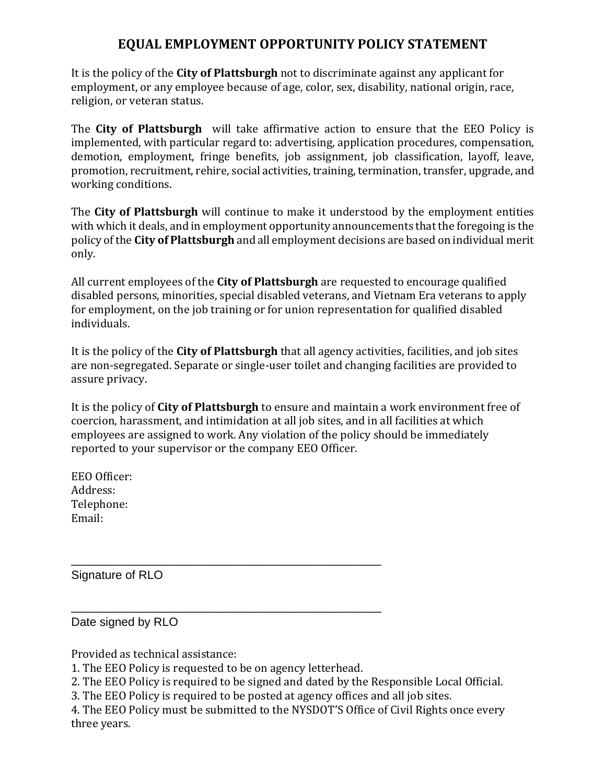# **EQUAL EMPLOYMENT OPPORTUNITY POLICY STATEMENT**

It is the policy of the **City of Plattsburgh** not to discriminate against any applicant for employment, or any employee because of age, color, sex, disability, national origin, race, religion, or veteran status.

The **City of Plattsburgh** will take affirmative action to ensure that the EEO Policy is implemented, with particular regard to: advertising, application procedures, compensation, demotion, employment, fringe benefits, job assignment, job classification, layoff, leave, promotion, recruitment, rehire, social activities, training, termination, transfer, upgrade, and working conditions.

The **City of Plattsburgh** will continue to make it understood by the employment entities with which it deals, and in employment opportunity announcements that the foregoing is the policy of the **City of Plattsburgh** and all employment decisions are based on individual merit only.

All current employees of the **City of Plattsburgh** are requested to encourage qualified disabled persons, minorities, special disabled veterans, and Vietnam Era veterans to apply for employment, on the job training or for union representation for qualified disabled individuals.

It is the policy of the **City of Plattsburgh** that all agency activities, facilities, and job sites are non-segregated. Separate or single-user toilet and changing facilities are provided to assure privacy.

It is the policy of **City of Plattsburgh** to ensure and maintain a work environment free of coercion, harassment, and intimidation at all job sites, and in all facilities at which employees are assigned to work. Any violation of the policy should be immediately reported to your supervisor or the company EEO Officer.

EEO Officer: Address: Telephone: Email:

Signature of RLO

Date signed by RLO

Provided as technical assistance:

1. The EEO Policy is requested to be on agency letterhead.

\_\_\_\_\_\_\_\_\_\_\_\_\_\_\_\_\_\_\_\_\_\_\_\_\_\_\_\_\_\_\_\_\_\_\_\_\_\_\_\_\_\_\_\_\_\_\_

\_\_\_\_\_\_\_\_\_\_\_\_\_\_\_\_\_\_\_\_\_\_\_\_\_\_\_\_\_\_\_\_\_\_\_\_\_\_\_\_\_\_\_\_\_\_\_

2. The EEO Policy is required to be signed and dated by the Responsible Local Official.

3. The EEO Policy is required to be posted at agency offices and all job sites.

4. The EEO Policy must be submitted to the NYSDOT'S Office of Civil Rights once every three years.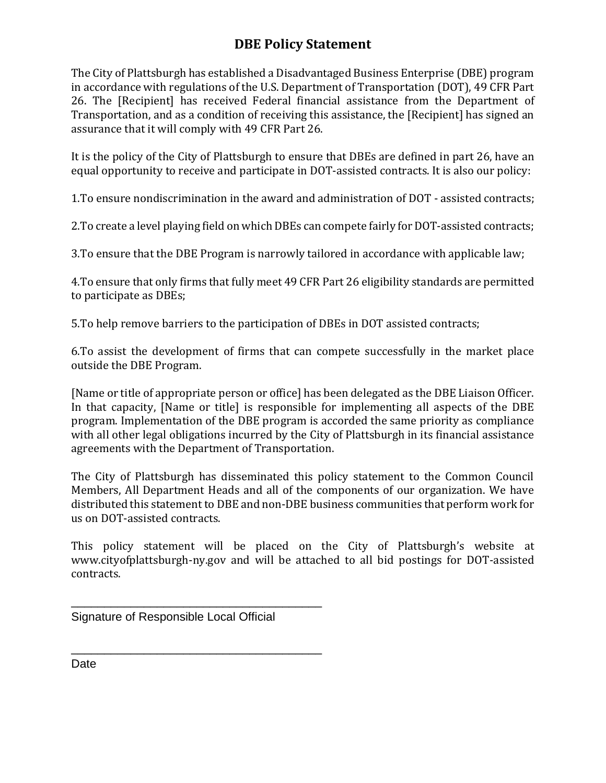# **DBE Policy Statement**

The City of Plattsburgh has established a Disadvantaged Business Enterprise (DBE) program in accordance with regulations of the U.S. Department of Transportation (DOT), 49 CFR Part 26. The [Recipient] has received Federal financial assistance from the Department of Transportation, and as a condition of receiving this assistance, the [Recipient] has signed an assurance that it will comply with 49 CFR Part 26.

It is the policy of the City of Plattsburgh to ensure that DBEs are defined in part 26, have an equal opportunity to receive and participate in DOT-assisted contracts. It is also our policy:

1.To ensure nondiscrimination in the award and administration of DOT - assisted contracts;

2.To create a level playing field on which DBEs can compete fairly for DOT-assisted contracts;

3.To ensure that the DBE Program is narrowly tailored in accordance with applicable law;

4.To ensure that only firms that fully meet 49 CFR Part 26 eligibility standards are permitted to participate as DBEs;

5.To help remove barriers to the participation of DBEs in DOT assisted contracts;

6.To assist the development of firms that can compete successfully in the market place outside the DBE Program.

[Name or title of appropriate person or office] has been delegated as the DBE Liaison Officer. In that capacity, [Name or title] is responsible for implementing all aspects of the DBE program. Implementation of the DBE program is accorded the same priority as compliance with all other legal obligations incurred by the City of Plattsburgh in its financial assistance agreements with the Department of Transportation.

The City of Plattsburgh has disseminated this policy statement to the Common Council Members, All Department Heads and all of the components of our organization. We have distributed this statement to DBE and non-DBE business communities that perform work for us on DOT-assisted contracts.

This policy statement will be placed on the City of Plattsburgh's website at www.cityofplattsburgh-ny.gov and will be attached to all bid postings for DOT-assisted contracts.

Signature of Responsible Local Official

\_\_\_\_\_\_\_\_\_\_\_\_\_\_\_\_\_\_\_\_\_\_\_\_\_\_\_\_\_\_\_\_\_\_\_\_\_\_

\_\_\_\_\_\_\_\_\_\_\_\_\_\_\_\_\_\_\_\_\_\_\_\_\_\_\_\_\_\_\_\_\_\_\_\_\_\_

Date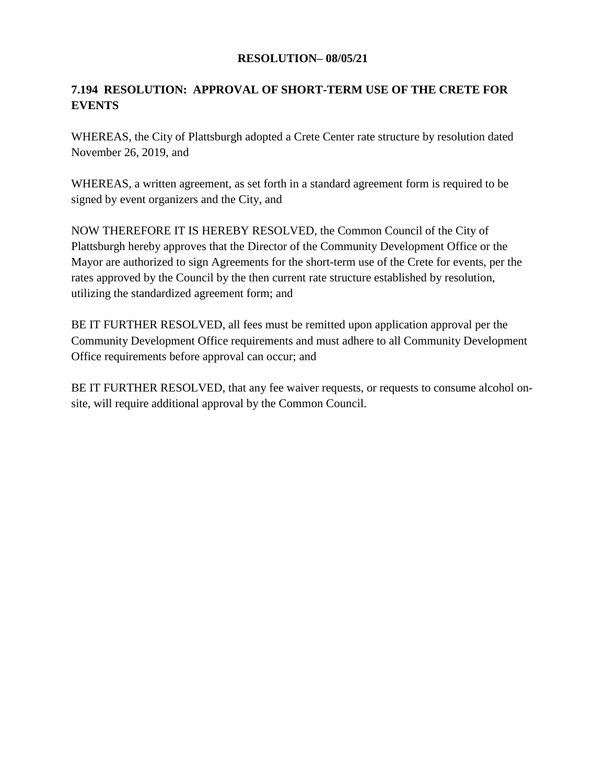### **7.194 RESOLUTION: APPROVAL OF SHORT-TERM USE OF THE CRETE FOR EVENTS**

WHEREAS, the City of Plattsburgh adopted a Crete Center rate structure by resolution dated November 26, 2019, and

WHEREAS, a written agreement, as set forth in a standard agreement form is required to be signed by event organizers and the City, and

NOW THEREFORE IT IS HEREBY RESOLVED, the Common Council of the City of Plattsburgh hereby approves that the Director of the Community Development Office or the Mayor are authorized to sign Agreements for the short-term use of the Crete for events, per the rates approved by the Council by the then current rate structure established by resolution, utilizing the standardized agreement form; and

BE IT FURTHER RESOLVED, all fees must be remitted upon application approval per the Community Development Office requirements and must adhere to all Community Development Office requirements before approval can occur; and

BE IT FURTHER RESOLVED, that any fee waiver requests, or requests to consume alcohol onsite, will require additional approval by the Common Council.